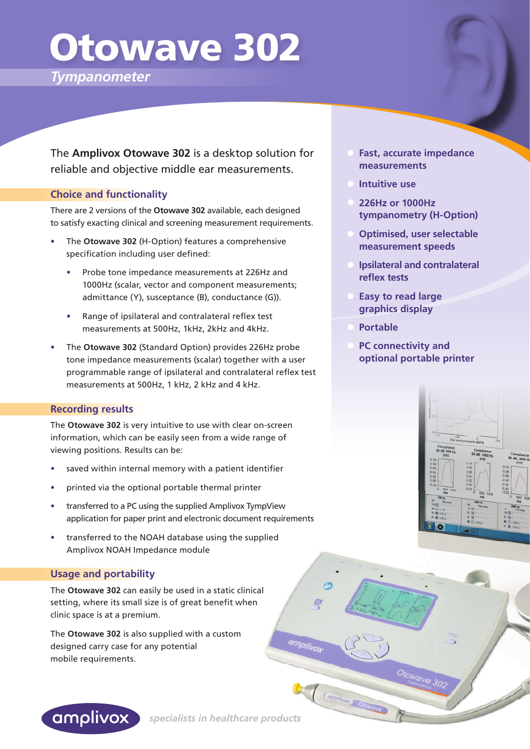# Otowave 302

*Tympanometer*

The **Amplivox Otowave 302** is a desktop solution for reliable and objective middle ear measurements.

#### **Choice and functionality**

There are 2 versions of the **Otowave 302** available, each designed to satisfy exacting clinical and screening measurement requirements.

- **•** The **Otowave 302** (H-Option) features a comprehensive specification including user defined:
	- **•** Probe tone impedance measurements at 226Hz and 1000Hz (scalar, vector and component measurements; admittance (Y), susceptance (B), conductance (G)).
	- Range of ipsilateral and contralateral reflex test measurements at 500Hz, 1kHz, 2kHz and 4kHz.
- **•** The **Otowave 302** (Standard Option) provides 226Hz probe tone impedance measurements (scalar) together with a user programmable range of ipsilateral and contralateral reflex test measurements at 500Hz, 1 kHz, 2 kHz and 4 kHz.

#### **Recording results**

The **Otowave 302** is very intuitive to use with clear on-screen information, which can be easily seen from a wide range of viewing positions. Results can be:

- saved within internal memory with a patient identifier
- **•** printed via the optional portable thermal printer
- **•** transferred to a PC using the supplied Amplivox TympView application for paper print and electronic document requirements
- **•** transferred to the NOAH database using the supplied Amplivox NOAH Impedance module

#### **Usage and portability**

The **Otowave 302** can easily be used in a static clinical setting, where its small size is of great benefit when clinic space is at a premium.

The **Otowave 302** is also supplied with a custom designed carry case for any potential mobile requirements.

- **Fast, accurate impedance measurements**
- **Intuitive use**
- **226Hz or 1000Hz tympanometry (H-Option)**
- **Optimised, user selectable measurement speeds**
- **Ipsilateral and contralateral reflex tests**
- **Easy to read large graphics display**
- **Portable**
- **PC connectivity and optional portable printer**

Otowaye 302





 *specialists in healthcare products* 

amplivo

(Campivox) Olov